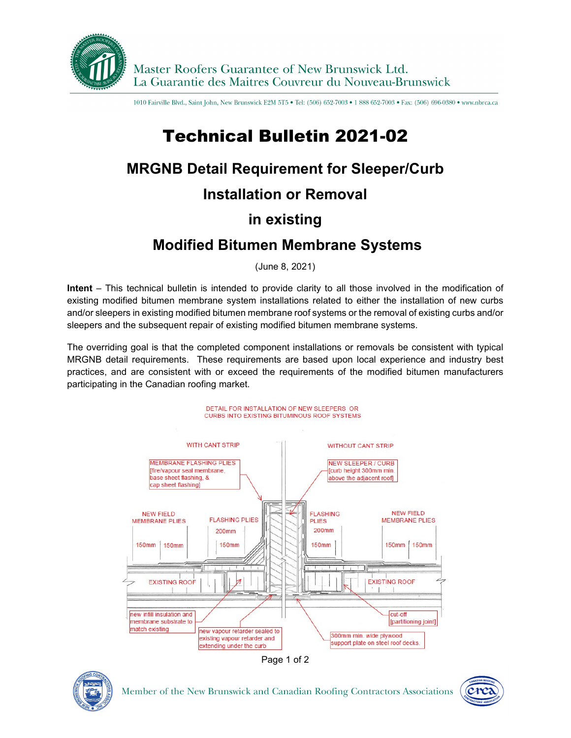

1010 Fairville Blvd., Saint John, New Brunswick E2M 5T5 . Tel: (506) 652-7003 . 1888 652-7003 . Fax: (506) 696-0380 . www.nbrca.ca

# Technical Bulletin 2021-02

### **MRGNB Detail Requirement for Sleeper/Curb**

#### **Installation or Removal**

# **in existing**

# **Modified Bitumen Membrane Systems**

(June 8, 2021)

**Intent** – This technical bulletin is intended to provide clarity to all those involved in the modification of existing modified bitumen membrane system installations related to either the installation of new curbs and/or sleepers in existing modified bitumen membrane roof systems or the removal of existing curbs and/or sleepers and the subsequent repair of existing modified bitumen membrane systems.

The overriding goal is that the completed component installations or removals be consistent with typical MRGNB detail requirements. These requirements are based upon local experience and industry best practices, and are consistent with or exceed the requirements of the modified bitumen manufacturers participating in the Canadian roofing market.







Member of the New Brunswick and Canadian Roofing Contractors Associations